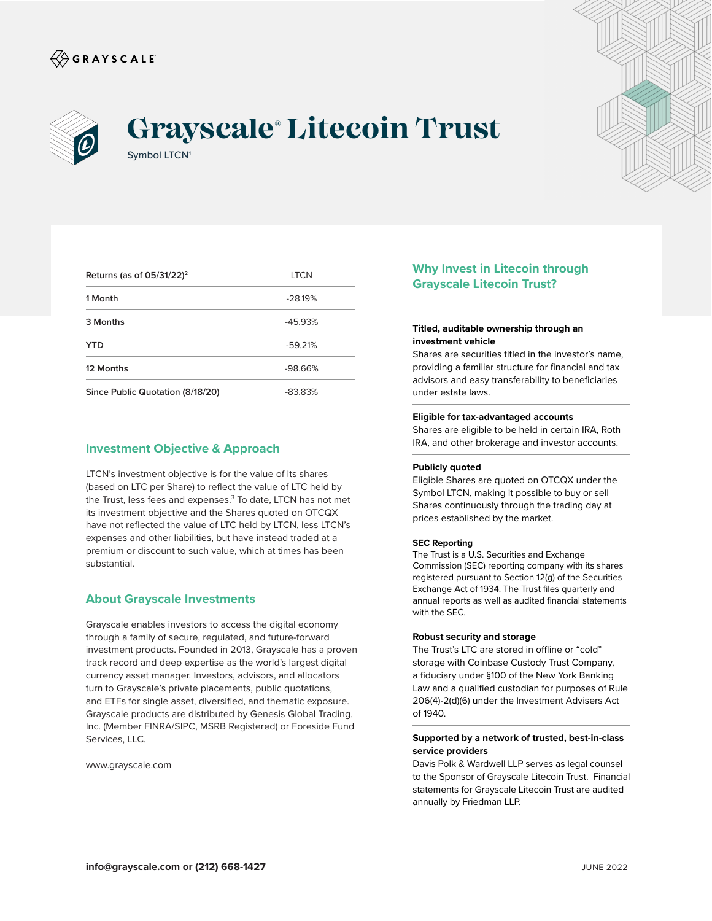



# Symbol LTCN<sup>1</sup> **Grayscale® Litecoin Trust**



| Returns (as of $05/31/22$ ) <sup>2</sup> | <b>LTCN</b> |
|------------------------------------------|-------------|
| 1 Month                                  | $-28.19%$   |
| 3 Months                                 | $-4593%$    |
| YTD                                      | $-59.21%$   |
| 12 Months                                | $-98.66%$   |
| Since Public Quotation (8/18/20)         | $-83.83%$   |

# **Investment Objective & Approach**

LTCN's investment objective is for the value of its shares (based on LTC per Share) to reflect the value of LTC held by the Trust, less fees and expenses.<sup>3</sup> To date, LTCN has not met its investment objective and the Shares quoted on OTCQX have not reflected the value of LTC held by LTCN, less LTCN's expenses and other liabilities, but have instead traded at a premium or discount to such value, which at times has been substantial.

# **About Grayscale Investments**

Grayscale enables investors to access the digital economy through a family of secure, regulated, and future-forward investment products. Founded in 2013, Grayscale has a proven track record and deep expertise as the world's largest digital currency asset manager. Investors, advisors, and allocators turn to Grayscale's private placements, public quotations, and ETFs for single asset, diversified, and thematic exposure. Grayscale products are distributed by Genesis Global Trading, Inc. (Member FINRA/SIPC, MSRB Registered) or Foreside Fund Services, LLC.

www.grayscale.com

# **Why Invest in Litecoin through Grayscale Litecoin Trust?**

## **Titled, auditable ownership through an investment vehicle**

Shares are securities titled in the investor's name, providing a familiar structure for financial and tax advisors and easy transferability to beneficiaries under estate laws.

#### **Eligible for tax-advantaged accounts**

Shares are eligible to be held in certain IRA, Roth IRA, and other brokerage and investor accounts.

## **Publicly quoted**

Eligible Shares are quoted on OTCQX under the Symbol LTCN, making it possible to buy or sell Shares continuously through the trading day at prices established by the market.

#### **SEC Reporting**

The Trust is a U.S. Securities and Exchange Commission (SEC) reporting company with its shares registered pursuant to Section 12(g) of the Securities Exchange Act of 1934. The Trust files quarterly and annual reports as well as audited financial statements with the SEC.

#### **Robust security and storage**

The Trust's LTC are stored in offline or "cold" storage with Coinbase Custody Trust Company, a fiduciary under §100 of the New York Banking Law and a qualified custodian for purposes of Rule 206(4)-2(d)(6) under the Investment Advisers Act of 1940.

## **Supported by a network of trusted, best-in-class service providers**

Davis Polk & Wardwell LLP serves as legal counsel to the Sponsor of Grayscale Litecoin Trust. Financial statements for Grayscale Litecoin Trust are audited annually by Friedman LLP.